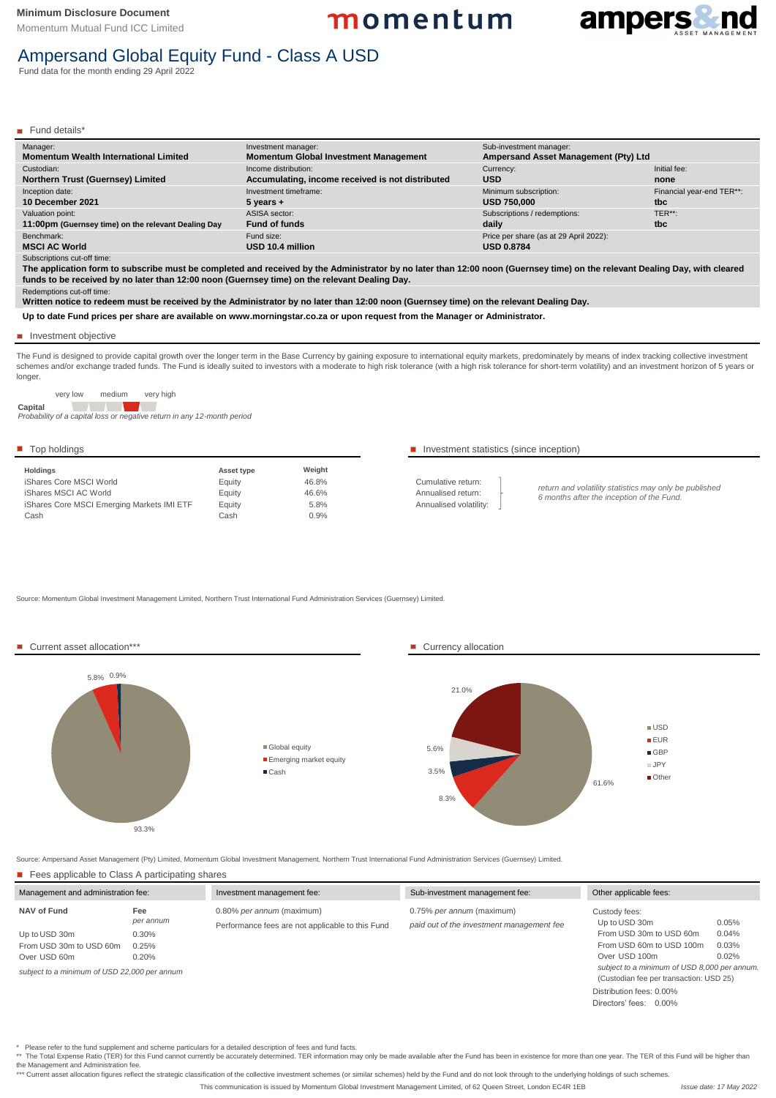Subscriptions cut-off time:

Redemptions cut-off time:

**Up to date Fund prices per share are available on www.morningstar.co.za or upon request from the Manager or Administrator.**

| <b>Holdings</b>                            | <b>Asset type</b> | Weight |
|--------------------------------------------|-------------------|--------|
| iShares Core MSCI World                    | Equity            | 46.8%  |
| iShares MSCI AC World                      | Equity            | 46.6%  |
| iShares Core MSCI Emerging Markets IMI ETF | Equity            | 5.8%   |
| Cash                                       | Cash              | 0.9%   |

## Top holdings The intervals of the statistics (since inception) The latter of the statistics (since inception)

Cumulative return: Annualised return: Annualised volatility:

\*\* The Total Expense Ratio (TER) for this Fund cannot currently be accurately determined. TER information may only be made available after the Fund has been in existence for more than one year. The TER of this Fund will be the Management and Administration fee.

\*\*\* Current asset allocation figures reflect the strategic classification of the collective investment schemes (or similar schemes) held by the Fund and do not look through to the underlying holdings of such schemes.

Source: Momentum Global Investment Management Limited, Northern Trust International Fund Administration Services (Guernsey) Limited.

The Fund is designed to provide capital growth over the longer term in the Base Currency by gaining exposure to international equity markets, predominately by means of index tracking collective investment schemes and/or exchange traded funds. The Fund is ideally suited to investors with a moderate to high risk tolerance (with a high risk tolerance for short-term volatility) and an investment horizon of 5 years or longer.

Source: Ampersand Asset Management (Pty) Limited, Momentum Global Investment Management, Northern Trust International Fund Administration Services (Guernsey) Limited.

■ Fees applicable to Class A participating shares

| Manager:<br><b>Momentum Wealth International Limited</b> | Investment manager:<br><b>Momentum Global Investment Management</b> | Sub-investment manager:<br><b>Ampersand Asset Management (Pty) Ltd</b> |                           |
|----------------------------------------------------------|---------------------------------------------------------------------|------------------------------------------------------------------------|---------------------------|
| Custodian:                                               | Income distribution:                                                | Currency:                                                              | Initial fee:              |
| <b>Northern Trust (Guernsey) Limited</b>                 | Accumulating, income received is not distributed                    | <b>USD</b>                                                             | none                      |
| Inception date:                                          | Investment timeframe:                                               | Minimum subscription:                                                  | Financial year-end TER**: |
| 10 December 2021                                         | $5$ years $+$                                                       | <b>USD 750,000</b>                                                     | tbc                       |
| Valuation point:                                         | ASISA sector:                                                       | Subscriptions / redemptions:                                           | TER**:                    |
| 11:00pm (Guernsey time) on the relevant Dealing Day      | <b>Fund of funds</b>                                                | daily                                                                  | tbc                       |
| Benchmark:                                               | Fund size:                                                          | Price per share (as at 29 April 2022):                                 |                           |
| <b>MSCI AC World</b>                                     | USD 10.4 million                                                    | <b>USD 0.8784</b>                                                      |                           |
|                                                          |                                                                     |                                                                        |                           |

#### Investment objective

Momentum Mutual Fund ICC Limited

momentum



# Ampersand Global Equity Fund - Class A USD

**The application form to subscribe must be completed and received by the Administrator by no later than 12:00 noon (Guernsey time) on the relevant Dealing Day, with cleared funds to be received by no later than 12:00 noon (Guernsey time) on the relevant Dealing Day.**

**Written notice to redeem must be received by the Administrator by no later than 12:00 noon (Guernsey time) on the relevant Dealing Day.**

Fund data for the month ending 29 April 2022

Fund details\*

This communication is issued by Momentum Global Investment Management Limited, of 62 Queen Street, London EC4R 1EB



very low medium very high

**Capital**

*Probability of a capital loss or negative return in any 12-month period*

*return and volatility statistics may only be published 6 months after the inception of the Fund.* 

| Management and administration fee:                       |                         | Investment management fee:                                                    | Sub-investment management fee:                                         | Other applicable fees:                                                                  |                         |
|----------------------------------------------------------|-------------------------|-------------------------------------------------------------------------------|------------------------------------------------------------------------|-----------------------------------------------------------------------------------------|-------------------------|
| <b>NAV of Fund</b>                                       | Fee<br>per annum        | 0.80% per annum (maximum)<br>Performance fees are not applicable to this Fund | 0.75% per annum (maximum)<br>paid out of the investment management fee | Custody fees:<br>Up to USD 30m                                                          | 0.05%                   |
| Up to USD 30m<br>From USD 30m to USD 60m<br>Over USD 60m | 0.30%<br>0.25%<br>0.20% |                                                                               |                                                                        | From USD 30m to USD 60m<br>From USD 60m to USD 100m<br>Over USD 100m                    | 0.04%<br>0.03%<br>0.02% |
| subject to a minimum of USD 22,000 per annum             |                         |                                                                               |                                                                        | subject to a minimum of USD 8,000 per annum.<br>(Custodian fee per transaction: USD 25) |                         |
|                                                          |                         |                                                                               |                                                                        | Distribution fees: 0.00%                                                                |                         |
|                                                          |                         |                                                                               | Directors' fees: 0.00%                                                 |                                                                                         |                         |

Please refer to the fund supplement and scheme particulars for a detailed description of fees and fund facts.